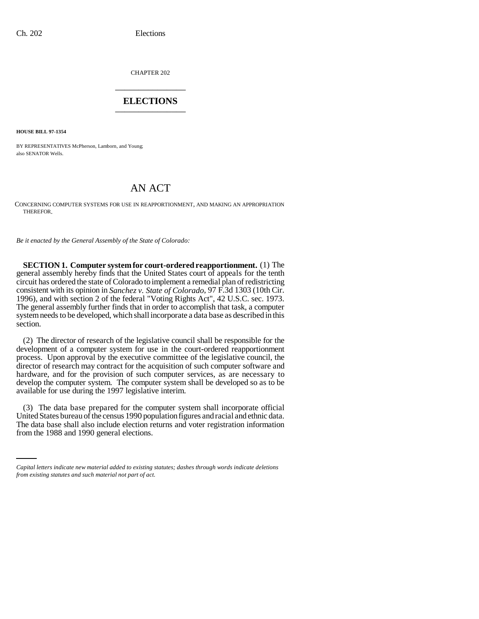CHAPTER 202 \_\_\_\_\_\_\_\_\_\_\_\_\_\_\_

## **ELECTIONS** \_\_\_\_\_\_\_\_\_\_\_\_\_\_\_

**HOUSE BILL 97-1354**

BY REPRESENTATIVES McPherson, Lamborn, and Young; also SENATOR Wells.

## AN ACT

CONCERNING COMPUTER SYSTEMS FOR USE IN REAPPORTIONMENT, AND MAKING AN APPROPRIATION THEREFOR.

*Be it enacted by the General Assembly of the State of Colorado:*

**SECTION 1. Computer system for court-ordered reapportionment.** (1) The general assembly hereby finds that the United States court of appeals for the tenth circuit has ordered the state of Colorado to implement a remedial plan of redistricting consistent with its opinion in *Sanchez v. State of Colorado*, 97 F.3d 1303 (10th Cir. 1996), and with section 2 of the federal "Voting Rights Act", 42 U.S.C. sec. 1973. The general assembly further finds that in order to accomplish that task, a computer system needs to be developed, which shall incorporate a data base as described in this section.

(2) The director of research of the legislative council shall be responsible for the development of a computer system for use in the court-ordered reapportionment process. Upon approval by the executive committee of the legislative council, the director of research may contract for the acquisition of such computer software and hardware, and for the provision of such computer services, as are necessary to develop the computer system. The computer system shall be developed so as to be available for use during the 1997 legislative interim.

United States bureau of the census 1990 population figures and racial and ethnic data. (3) The data base prepared for the computer system shall incorporate official The data base shall also include election returns and voter registration information from the 1988 and 1990 general elections.

*Capital letters indicate new material added to existing statutes; dashes through words indicate deletions from existing statutes and such material not part of act.*